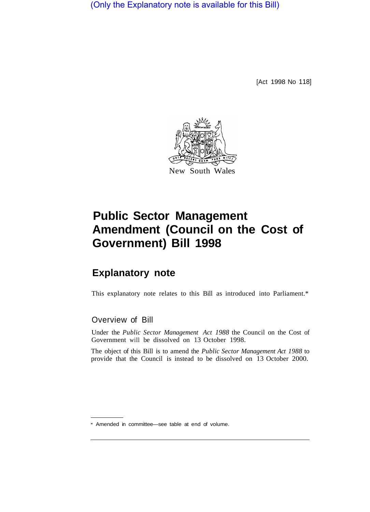(Only the Explanatory note is available for this Bill)

[Act 1998 No 118]



## **Public Sector Management Amendment (Council on the Cost of Government) Bill 1998**

## **Explanatory note**

This explanatory note relates to this Bill as introduced into Parliament.\*

## Overview of Bill

Under the *Public Sector Management Act 1988* the Council on the Cost of Government will be dissolved on 13 October 1998.

The object of this Bill is to amend the *Public Sector Management Act 1988* to provide that the Council is instead to be dissolved on 13 October 2000.

Amended in committee—see table at end of volume.